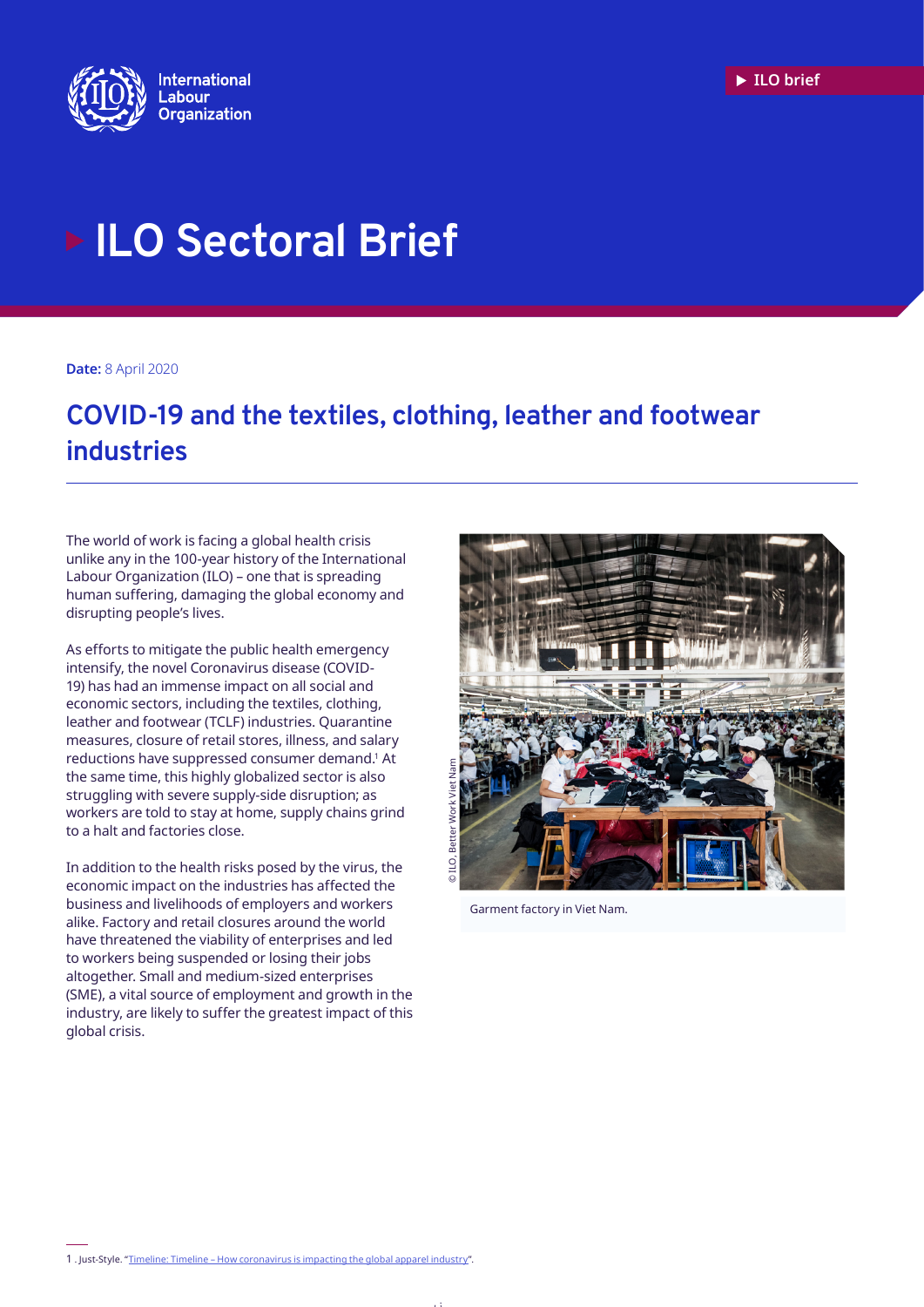

# **ILO Sectoral Brief**

**Date:** 8 April 2020

## **Key points COVID-19 and the textiles, clothing, leather and footwear industries**

The world of work is facing a global health crisis unlike any in the 100-year history of the International Labour Organization (ILO) – one that is spreading human suffering, damaging the global economy and disrupting people's lives.

As efforts to mitigate the public health emergency intensify, the novel Coronavirus disease (COVID-19) has had an immense impact on all social and economic sectors, including the textiles, clothing, leather and footwear (TCLF) industries. Quarantine measures, closure of retail stores, illness, and salary reductions have suppressed consumer demand.1 At the same time, this highly globalized sector is also struggling with severe supply-side disruption; as workers are told to stay at home, supply chains grind to a halt and factories close.

In addition to the health risks posed by the virus, the economic impact on the industries has affected the business and livelihoods of employers and workers alike. Factory and retail closures around the world have threatened the viability of enterprises and led to workers being suspended or losing their jobs altogether. Small and medium-sized enterprises (SME), a vital source of employment and growth in the industry, are likely to suffer the greatest impact of this global crisis.



Garment factory in Viet Nam.

1 . Just-Style. "[Timeline: Timeline – How coronavirus is impacting the global apparel industry"](https://www.just-style.com/news/timeline-how-coronavirus-is-impacting-the-global-apparel-industry-free-to-read_id138313.aspx).

 $\mathcal{L}$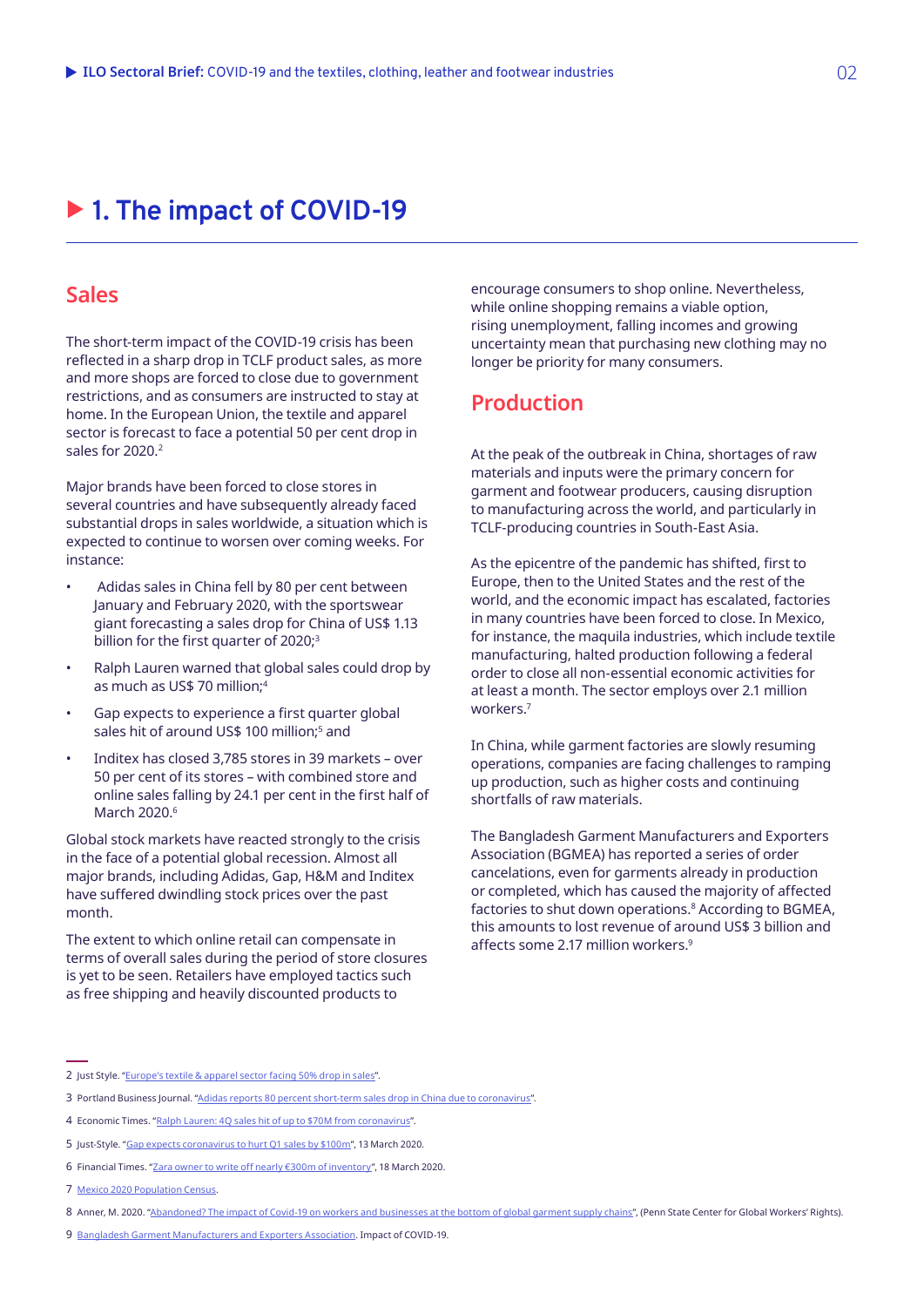# ▶ 1. The impact of COVID-19

### **Sales**

The short-term impact of the COVID-19 crisis has been reflected in a sharp drop in TCLF product sales, as more and more shops are forced to close due to government restrictions, and as consumers are instructed to stay at home. In the European Union, the textile and apparel sector is forecast to face a potential 50 per cent drop in sales for 2020.<sup>2</sup>

Major brands have been forced to close stores in several countries and have subsequently already faced substantial drops in sales worldwide, a situation which is expected to continue to worsen over coming weeks. For instance:

- Adidas sales in China fell by 80 per cent between January and February 2020, with the sportswear giant forecasting a sales drop for China of US\$ 1.13 billion for the first quarter of 2020;<sup>3</sup>
- Ralph Lauren warned that global sales could drop by as much as US\$ 70 million;4
- Gap expects to experience a first quarter global sales hit of around US\$ 100 million;<sup>s</sup> and
- Inditex has closed 3,785 stores in 39 markets over 50 per cent of its stores – with combined store and online sales falling by 24.1 per cent in the first half of March 2020.<sup>6</sup>

Global stock markets have reacted strongly to the crisis in the face of a potential global recession. Almost all major brands, including Adidas, Gap, H&M and Inditex have suffered dwindling stock prices over the past month.

The extent to which online retail can compensate in terms of overall sales during the period of store closures is yet to be seen. Retailers have employed tactics such as free shipping and heavily discounted products to

encourage consumers to shop online. Nevertheless, while online shopping remains a viable option, rising unemployment, falling incomes and growing uncertainty mean that purchasing new clothing may no longer be priority for many consumers.

## **Production**

At the peak of the outbreak in China, shortages of raw materials and inputs were the primary concern for garment and footwear producers, causing disruption to manufacturing across the world, and particularly in TCLF-producing countries in South-East Asia.

As the epicentre of the pandemic has shifted, first to Europe, then to the United States and the rest of the world, and the economic impact has escalated, factories in many countries have been forced to close. In Mexico, for instance, the maquila industries, which include textile manufacturing, halted production following a federal order to close all non-essential economic activities for at least a month. The sector employs over 2.1 million workers.7

In China, while garment factories are slowly resuming operations, companies are facing challenges to ramping up production, such as higher costs and continuing shortfalls of raw materials.

The Bangladesh Garment Manufacturers and Exporters Association (BGMEA) has reported a series of order cancelations, even for garments already in production or completed, which has caused the majority of affected factories to shut down operations.8 According to BGMEA, this amounts to lost revenue of around US\$ 3 billion and affects some 2.17 million workers.9

<sup>2</sup> Just Style. "[Europe's textile & apparel sector facing 50% drop in sales"](https://www.just-style.com/news/europes-textile-apparel-sector-facing-50-drop-in-sales_id138446.aspx).

<sup>3</sup> Portland Business Journal. "[Adidas reports 80 percent short-term sales drop in China due to coronavirus](https://www.bizjournals.com/portland/news/2020/03/11/adidas-reports-80-percent-short-term-sales-drop-in.html)".

<sup>4</sup> Economic Times. "[Ralph Lauren: 4Q sales hit of up to \\$70M from coronavirus"](https://retail.economictimes.indiatimes.com/news/apparel-fashion/apparel/ralph-lauren-4q-sales-hit-of-up-to-70m-from-coronavirus/74134546).

<sup>5</sup> Just-Style. ["Gap expects coronavirus to hurt Q1 sales by \\$100m](https://www.just-style.com/news/gap-expects-coronavirus-to-hurt-q1-sales-by-100m_id138304.aspx)", 13 March 2020.

<sup>6</sup> Financial Times. "[Zara owner to write off nearly €300m of inventory"](https://www.ft.com/content/a9aa4010-6901-11ea-800d-da70cff6e4d3), 18 March 2020.

<sup>7</sup> [Mexico 2020 Population Census](https://www.inegi.org.mx/programas/ccpv/2020/default.html).

<sup>8</sup> Anner, M. 2020. ["Abandoned? The impact of Covid-19 on workers and businesses at the bottom of global garment supply chains"](https://ler.la.psu.edu/gwr), (Penn State Center for Global Workers' Rights).

<sup>9</sup> [Bangladesh Garment Manufacturers and Exporters Association](https://www.bgmea.com.bd/). Impact of COVID-19.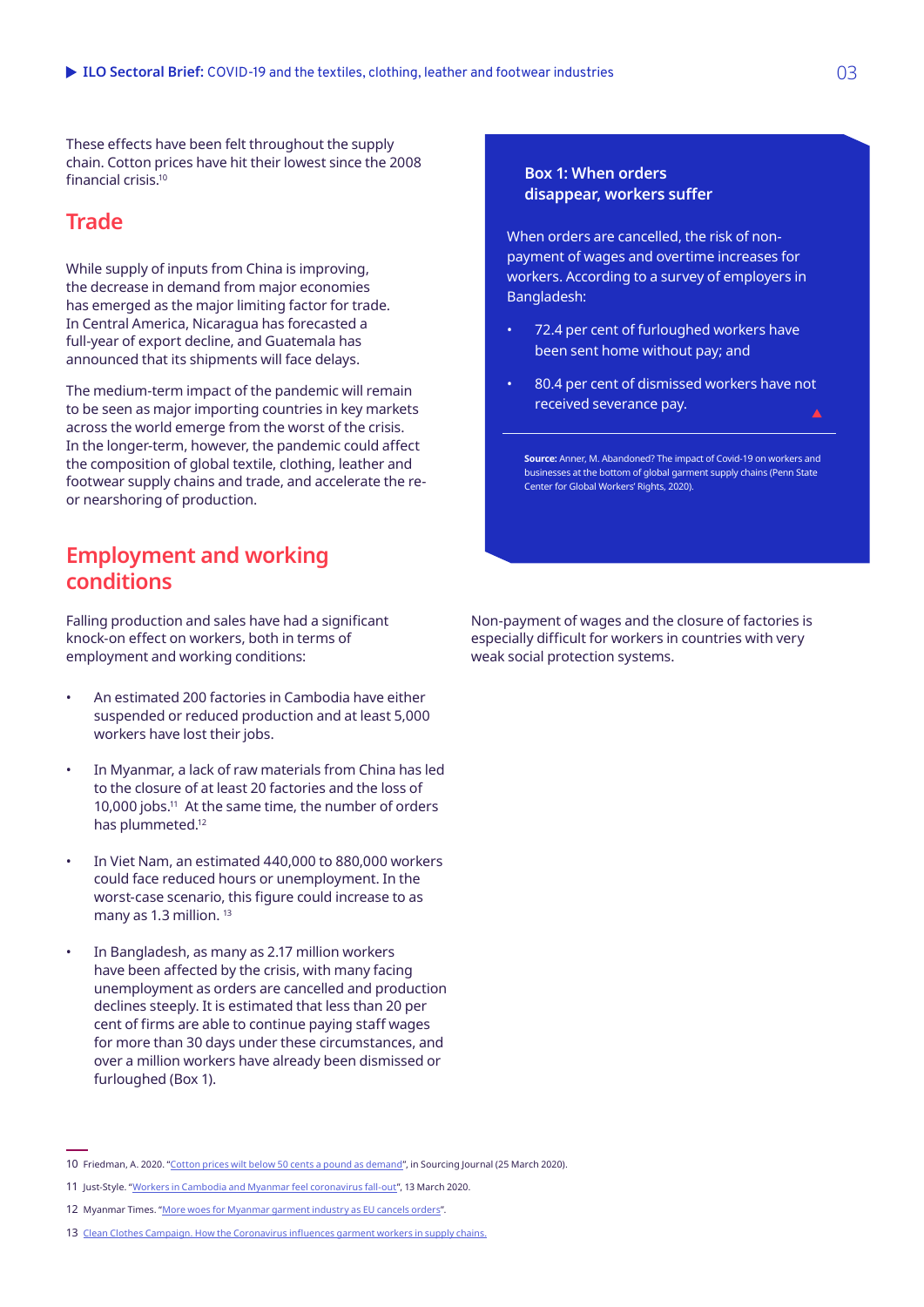These effects have been felt throughout the supply chain. Cotton prices have hit their lowest since the 2008 financial crisis.10

## **Trade**

While supply of inputs from China is improving, the decrease in demand from major economies has emerged as the major limiting factor for trade. In Central America, Nicaragua has forecasted a full-year of export decline, and Guatemala has announced that its shipments will face delays.

The medium-term impact of the pandemic will remain to be seen as major importing countries in key markets across the world emerge from the worst of the crisis. In the longer-term, however, the pandemic could affect the composition of global textile, clothing, leather and footwear supply chains and trade, and accelerate the reor nearshoring of production.

## **Employment and working conditions**

Falling production and sales have had a significant knock-on effect on workers, both in terms of employment and working conditions:

- An estimated 200 factories in Cambodia have either suspended or reduced production and at least 5,000 workers have lost their jobs.
- In Myanmar, a lack of raw materials from China has led to the closure of at least 20 factories and the loss of 10,000 jobs.11 At the same time, the number of orders has plummeted.12
- In Viet Nam, an estimated 440,000 to 880,000 workers could face reduced hours or unemployment. In the worst-case scenario, this figure could increase to as many as 1.3 million.<sup>13</sup>
- In Bangladesh, as many as 2.17 million workers have been affected by the crisis, with many facing unemployment as orders are cancelled and production declines steeply. It is estimated that less than 20 per cent of firms are able to continue paying staff wages for more than 30 days under these circumstances, and over a million workers have already been dismissed or furloughed (Box 1).

#### **Box 1: When orders disappear, workers suffer**

When orders are cancelled, the risk of nonpayment of wages and overtime increases for workers. According to a survey of employers in Bangladesh:

- 72.4 per cent of furloughed workers have been sent home without pay; and
- 80.4 per cent of dismissed workers have not received severance pay.

**Source:** Anner, M. Abandoned? The impact of Covid-19 on workers and businesses at the bottom of global garment supply chains (Penn State Center for Global Workers' Rights, 2020).

Non-payment of wages and the closure of factories is especially difficult for workers in countries with very weak social protection systems.

<sup>10</sup> Friedman, A. 2020. "[Cotton prices wilt below 50 cents a pound as demand"](https://sourcingjournal.com/market-data/cotton-data/cotton-prices-demand-usda-apparel-coronavirus-201955/), in Sourcing Journal (25 March 2020).

<sup>11</sup> Just-Style. ["Workers in Cambodia and Myanmar feel coronavirus fall-out"](https://www.just-style.com/news/workers-in-cambodia-and-myanmar-feel-coronavirus-fall-out_id138311.aspx), 13 March 2020.

<sup>12</sup> Myanmar Times. "[More woes for Myanmar garment industry as EU cancels orders](https://www.mmtimes.com/news/more-woes-myanmar-garment-industry-eu-cancels-orders.html)".

<sup>13</sup> [Clean Clothes Campaign. How the Coronavirus influences garment workers in supply chains.](https://cleanclothes.org/news/2020/live-blog-on-how-the-coronavirus-influences-workers-in-supply-chains)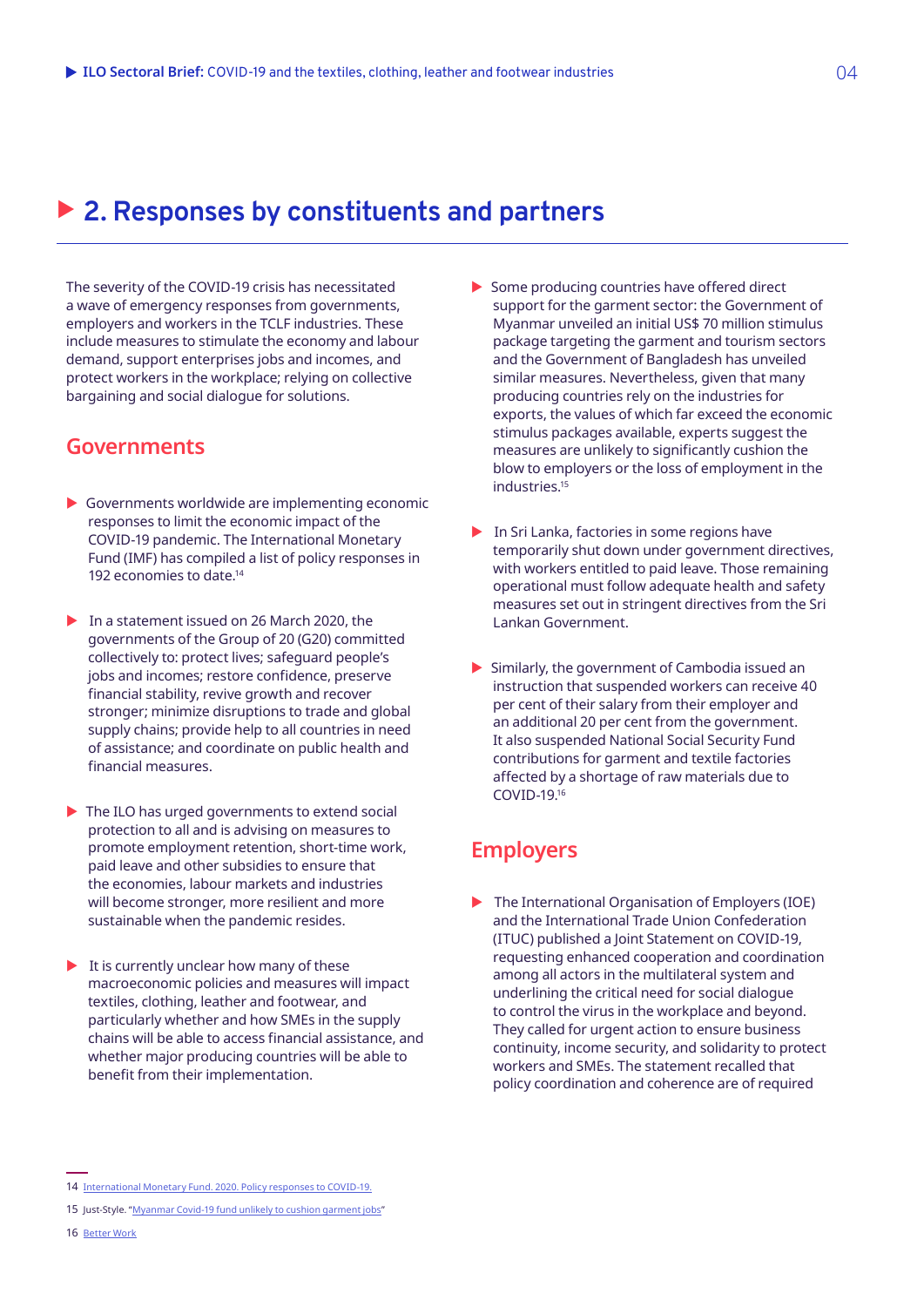## ▶ 2. Responses by constituents and partners

The severity of the COVID-19 crisis has necessitated a wave of emergency responses from governments, employers and workers in the TCLF industries. These include measures to stimulate the economy and labour demand, support enterprises jobs and incomes, and protect workers in the workplace; relying on collective bargaining and social dialogue for solutions.

## **Governments**

- $\triangleright$  Governments worldwide are implementing economic responses to limit the economic impact of the COVID-19 pandemic. The International Monetary Fund (IMF) has compiled a list of policy responses in 192 economies to date.14
- $\blacktriangleright$  In a statement issued on 26 March 2020, the governments of the Group of 20 (G20) committed collectively to: protect lives; safeguard people's jobs and incomes; restore confidence, preserve financial stability, revive growth and recover stronger; minimize disruptions to trade and global supply chains; provide help to all countries in need of assistance; and coordinate on public health and financial measures.
- $\blacktriangleright$  The ILO has urged governments to extend social protection to all and is advising on measures to promote employment retention, short-time work, paid leave and other subsidies to ensure that the economies, labour markets and industries will become stronger, more resilient and more sustainable when the pandemic resides.
- $\blacktriangleright$  It is currently unclear how many of these macroeconomic policies and measures will impact textiles, clothing, leather and footwear, and particularly whether and how SMEs in the supply chains will be able to access financial assistance, and whether major producing countries will be able to benefit from their implementation.
- $\blacktriangleright$  In Sri Lanka, factories in some regions have temporarily shut down under government directives, with workers entitled to paid leave. Those remaining operational must follow adequate health and safety measures set out in stringent directives from the Sri Lankan Government.
- $\blacktriangleright$  Similarly, the government of Cambodia issued an instruction that suspended workers can receive 40 per cent of their salary from their employer and an additional 20 per cent from the government. It also suspended National Social Security Fund contributions for garment and textile factories affected by a shortage of raw materials due to COVID-19.16

## **Employers**

 $\blacktriangleright$  The International Organisation of Employers (IOE) and the International Trade Union Confederation (ITUC) published a Joint Statement on COVID-19, requesting enhanced cooperation and coordination among all actors in the multilateral system and underlining the critical need for social dialogue to control the virus in the workplace and beyond. They called for urgent action to ensure business continuity, income security, and solidarity to protect workers and SMEs. The statement recalled that policy coordination and coherence are of required

 $\triangleright$  Some producing countries have offered direct support for the garment sector: the Government of Myanmar unveiled an initial US\$ 70 million stimulus package targeting the garment and tourism sectors and the Government of Bangladesh has unveiled similar measures. Nevertheless, given that many producing countries rely on the industries for exports, the values of which far exceed the economic stimulus packages available, experts suggest the measures are unlikely to significantly cushion the blow to employers or the loss of employment in the industries.<sup>15</sup>

<sup>14</sup> [International Monetary Fund. 2020. Policy responses to COVID-19](https://www.imf.org/en/Topics/imf-and-covid19/Policy-Responses-to-COVID-19#V).

<sup>15</sup> Just-Style. ["Myanmar Covid-19 fund unlikely to cushion garment jobs"](https://www.just-style.com/news/myanmar-covid-19-fund-unlikely-to-cushion-garment-jobs_id138394.aspx)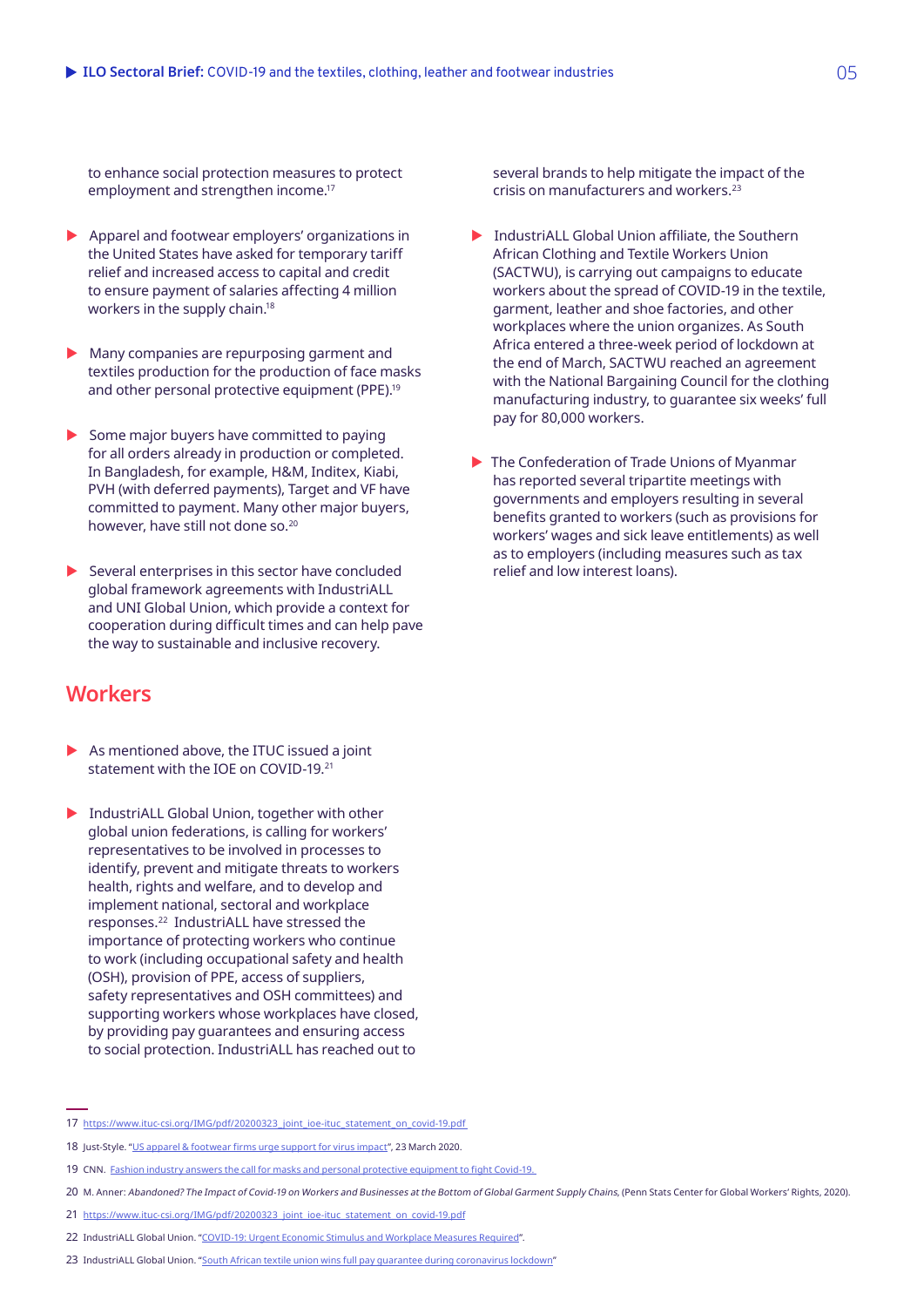to enhance social protection measures to protect employment and strengthen income.<sup>17</sup>

- $\blacktriangleright$  Apparel and footwear employers' organizations in the United States have asked for temporary tariff relief and increased access to capital and credit to ensure payment of salaries affecting 4 million workers in the supply chain.18
- $\blacktriangleright$  Many companies are repurposing garment and textiles production for the production of face masks and other personal protective equipment (PPE).<sup>19</sup>
- $\triangleright$  Some major buyers have committed to paying for all orders already in production or completed. In Bangladesh, for example, H&M, Inditex, Kiabi, PVH (with deferred payments), Target and VF have committed to payment. Many other major buyers, however, have still not done so.20
- $\blacktriangleright$  Several enterprises in this sector have concluded global framework agreements with IndustriALL and UNI Global Union, which provide a context for cooperation during difficult times and can help pave the way to sustainable and inclusive recovery.

## **Workers**

- $\triangleright$  As mentioned above, the ITUC issued a joint statement with the IOF on COVID-19<sup>21</sup>
- $\blacktriangleright$  IndustriALL Global Union, together with other global union federations, is calling for workers' representatives to be involved in processes to identify, prevent and mitigate threats to workers health, rights and welfare, and to develop and implement national, sectoral and workplace responses.22 IndustriALL have stressed the importance of protecting workers who continue to work (including occupational safety and health (OSH), provision of PPE, access of suppliers, safety representatives and OSH committees) and supporting workers whose workplaces have closed, by providing pay guarantees and ensuring access to social protection. IndustriALL has reached out to

several brands to help mitigate the impact of the crisis on manufacturers and workers.23

- $\blacktriangleright$  IndustriALL Global Union affiliate, the Southern African Clothing and Textile Workers Union (SACTWU), is carrying out campaigns to educate workers about the spread of COVID-19 in the textile, garment, leather and shoe factories, and other workplaces where the union organizes. As South Africa entered a three-week period of lockdown at the end of March, SACTWU reached an agreement with the National Bargaining Council for the clothing manufacturing industry, to guarantee six weeks' full pay for 80,000 workers.
- $\blacktriangleright$  The Confederation of Trade Unions of Myanmar has reported several tripartite meetings with governments and employers resulting in several benefits granted to workers (such as provisions for workers' wages and sick leave entitlements) as well as to employers (including measures such as tax relief and low interest loans).

<sup>17</sup> [https://www.ituc-csi.org/IMG/pdf/20200323\\_joint\\_ioe-ituc\\_statement\\_on\\_covid-19.pdf](https://www.ituc-csi.org/IMG/pdf/20200323_joint_ioe-ituc_statement_on_covid-19.pdf ) 

<sup>18</sup> Just-Style. ["US apparel & footwear firms urge support for virus impact](https://www.just-style.com/news/us-apparel-footwear-firms-urge-support-for-virus-impact_id138367.aspx)", 23 March 2020.

<sup>19</sup> CNN. [Fashion industry answers the call for masks and personal protective equipment to fight Covid-19.](https://edition.cnn.com/style/article/fashion-industry-masks-protective-equipment-covid-19/index.html) 

<sup>20</sup> M. Anner: Abandoned? The Impact of Covid-19 on Workers and Businesses at the Bottom of Global Garment Supply Chains, (Penn Stats Center for Global Workers' Rights, 2020).

<sup>21</sup> [https://www.ituc-csi.org/IMG/pdf/20200323\\_joint\\_ioe-ituc\\_statement\\_on\\_covid-19.pdf](https://www.ituc-csi.org/IMG/pdf/20200323_joint_ioe-ituc_statement_on_covid-19.pdf)

<sup>22</sup> IndustriALL Global Union. "[COVID-19: Urgent Economic Stimulus and Workplace Measures Required"](http://www.industriall-union.org/covid-19-urgent-economic-stimulus-and-workplace-measures-required).

<sup>23</sup> IndustriALL Global Union. "[South African textile union wins full pay guarantee during coronavirus lockdown](http://www.industriall-union.org/south-african-textile-union-wins-full-pay-guarantee-during-coronavirus-lockdown)"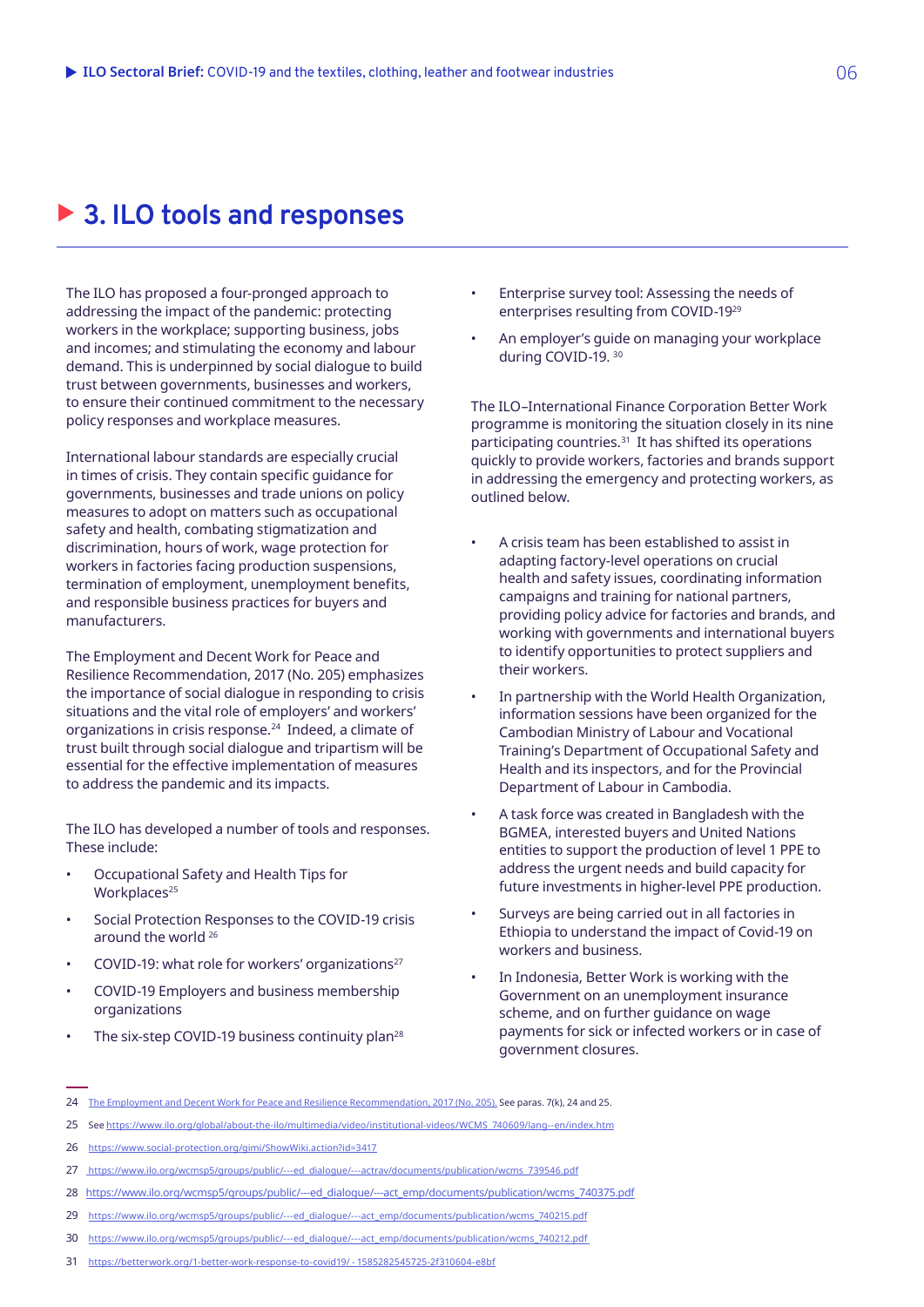# ▶ 3. ILO tools and responses

The ILO has proposed a four-pronged approach to addressing the impact of the pandemic: protecting workers in the workplace; supporting business, jobs and incomes; and stimulating the economy and labour demand. This is underpinned by social dialogue to build trust between governments, businesses and workers, to ensure their continued commitment to the necessary policy responses and workplace measures.

International labour standards are especially crucial in times of crisis. They contain specific guidance for governments, businesses and trade unions on policy measures to adopt on matters such as occupational safety and health, combating stigmatization and discrimination, hours of work, wage protection for workers in factories facing production suspensions, termination of employment, unemployment benefits, and responsible business practices for buyers and manufacturers.

The Employment and Decent Work for Peace and Resilience Recommendation, 2017 (No. 205) emphasizes the importance of social dialogue in responding to crisis situations and the vital role of employers' and workers' organizations in crisis response.24 Indeed, a climate of trust built through social dialogue and tripartism will be essential for the effective implementation of measures to address the pandemic and its impacts.

The ILO has developed a number of tools and responses. These include:

- Occupational Safety and Health Tips for Workplaces<sup>25</sup>
- Social Protection Responses to the COVID-19 crisis around the world 26
- COVID-19: what role for workers' organizations27
- COVID-19 Employers and business membership organizations
- The six-step COVID-19 business continuity plan<sup>28</sup>
- Enterprise survey tool: Assessing the needs of enterprises resulting from COVID-1929
- An employer's guide on managing your workplace during COVID-19. 30

The ILO–International Finance Corporation Better Work programme is monitoring the situation closely in its nine participating countries.<sup>31</sup> It has shifted its operations quickly to provide workers, factories and brands support in addressing the emergency and protecting workers, as outlined below.

- A crisis team has been established to assist in adapting factory-level operations on crucial health and safety issues, coordinating information campaigns and training for national partners, providing policy advice for factories and brands, and working with governments and international buyers to identify opportunities to protect suppliers and their workers.
- In partnership with the World Health Organization, information sessions have been organized for the Cambodian Ministry of Labour and Vocational Training's Department of Occupational Safety and Health and its inspectors, and for the Provincial Department of Labour in Cambodia.
- A task force was created in Bangladesh with the BGMEA, interested buyers and United Nations entities to support the production of level 1 PPE to address the urgent needs and build capacity for future investments in higher-level PPE production.
- Surveys are being carried out in all factories in Ethiopia to understand the impact of Covid-19 on workers and business.
- In Indonesia, Better Work is working with the Government on an unemployment insurance scheme, and on further guidance on wage payments for sick or infected workers or in case of government closures.

<sup>24</sup> [The Employment and Decent Work for Peace and Resilience Recommendation, 2017 \(No. 205\).](https://www.ilo.org/dyn/normlex/en/f?p=NORMLEXPUB:12100:0::NO::P12100_ILO_CODE:R205) See paras. 7(k), 24 and 25.

<sup>25</sup> See [https://www.ilo.org/global/about-the-ilo/multimedia/video/institutional-videos/WCMS\\_740609/lang--en/index.htm](https://www.ilo.org/global/about-the-ilo/multimedia/video/institutional-videos/WCMS_740609/lang--en/index.htm)

<sup>26</sup> <https://www.social-protection.org/gimi/ShowWiki.action?id=3417>

<sup>27</sup> [https://www.ilo.org/wcmsp5/groups/public/---ed\\_dialogue/---actrav/documents/publication/wcms\\_739546.pdf](https://www.ilo.org/wcmsp5/groups/public/---ed_dialogue/---actrav/documents/publication/wcms_739546.pdf)

<sup>28</sup> [https://www.ilo.org/wcmsp5/groups/public/---ed\\_dialogue/---act\\_emp/documents/publication/wcms\\_740375.pdf](https://www.ilo.org/wcmsp5/groups/public/---ed_dialogue/---act_emp/documents/publication/wcms_740375.pdf)

<sup>29</sup> [https://www.ilo.org/wcmsp5/groups/public/---ed\\_dialogue/---act\\_emp/documents/publication/wcms\\_740215.pdf](https://www.ilo.org/wcmsp5/groups/public/---ed_dialogue/---act_emp/documents/publication/wcms_740215.pdf)

<sup>30</sup> [https://www.ilo.org/wcmsp5/groups/public/---ed\\_dialogue/---act\\_emp/documents/publication/wcms\\_740212.pdf](https://www.ilo.org/wcmsp5/groups/public/---ed_dialogue/---act_emp/documents/publication/wcms_740212.pdf) 

<sup>31</sup> <https://betterwork.org/1-better-work-response-to-covid19/ - 1585282545725-2f310604-e8bf>